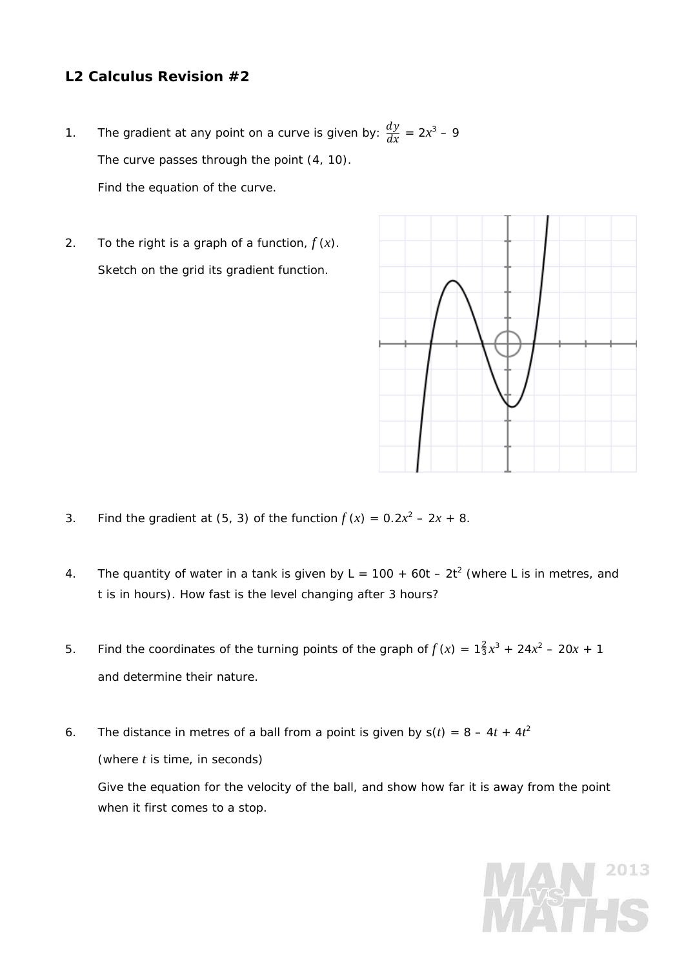## **L2 Calculus Revision #2**

- 1. The gradient at any point on a curve is given by:  $\frac{dy}{dx} = 2x^3 9$ The curve passes through the point (4, 10). Find the equation of the curve.
- 2. To the right is a graph of a function,  $f(x)$ . Sketch on the grid its gradient function.



- 3. Find the gradient at (5, 3) of the function  $f (x) = 0.2x^2 2x + 8$ .
- 4. The quantity of water in a tank is given by  $L = 100 + 60t 2t^2$  (where L is in metres, and *t* is in hours). How fast is the level changing after 3 hours?
- 5. Find the coordinates of the turning points of the graph of  $f(x) = 1\frac{2}{3}x^3 + 24x^2 20x + 1$ and determine their nature.
- 6. The distance in metres of a ball from a point is given by  $s(t) = 8 4t + 4t^2$ (where *t* is time, in seconds)

 Give the equation for the velocity of the ball, and show how far it is away from the point when it first comes to a stop.